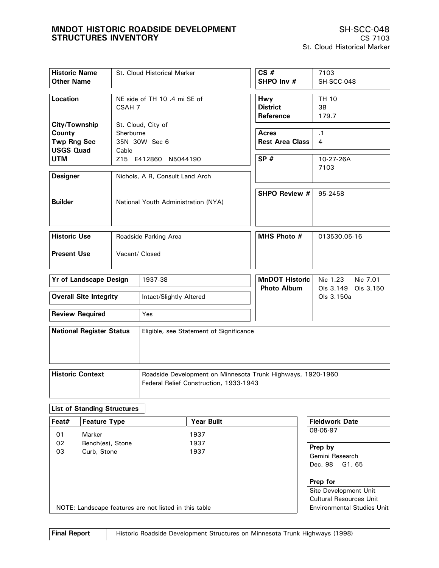| <b>Historic Name</b><br><b>Other Name</b>                         |                    | St. Cloud Historical Marker                                                                           | CS#<br>SHPO Inv #                      | 7103<br>SH-SCC-048                |
|-------------------------------------------------------------------|--------------------|-------------------------------------------------------------------------------------------------------|----------------------------------------|-----------------------------------|
| Location                                                          | CSAH 7             | NE side of TH 10 .4 mi SE of                                                                          | Hwy<br><b>District</b><br>Reference    | TH 10<br>3B<br>179.7              |
| City/Township<br>County<br><b>Twp Rng Sec</b><br><b>USGS Quad</b> | Sherburne<br>Cable | St. Cloud, City of<br>35N 30W Sec 6                                                                   | <b>Acres</b><br><b>Rest Area Class</b> | .1<br>4                           |
| <b>UTM</b><br><b>Designer</b>                                     |                    | Z15 E412860 N5044190<br>Nichols, A R, Consult Land Arch                                               | SP#                                    | 10-27-26A<br>7103                 |
| <b>Builder</b>                                                    |                    | National Youth Administration (NYA)                                                                   | SHPO Review #                          | 95-2458                           |
| <b>Historic Use</b>                                               |                    | Roadside Parking Area                                                                                 | MHS Photo #                            | 013530.05-16                      |
| <b>Present Use</b><br>Vacant/ Closed                              |                    |                                                                                                       |                                        |                                   |
| <b>Yr of Landscape Design</b>                                     |                    | 1937-38                                                                                               | <b>MnDOT Historic</b>                  | Nic 1.23<br>Nic 7.01              |
| <b>Overall Site Integrity</b>                                     |                    | Intact/Slightly Altered                                                                               | <b>Photo Album</b>                     | Ols 3.149 Ols 3.150<br>Ols 3.150a |
| <b>Review Required</b>                                            |                    | Yes                                                                                                   |                                        |                                   |
| <b>National Register Status</b>                                   |                    | Eligible, see Statement of Significance                                                               |                                        |                                   |
| <b>Historic Context</b>                                           |                    | Roadside Development on Minnesota Trunk Highways, 1920-1960<br>Federal Relief Construction, 1933-1943 |                                        |                                   |

# **List of Standing Structures**

| Feat# | <b>Feature Type</b>                                   | <b>Year Built</b> | <b>Fieldwork Date</b>                        |
|-------|-------------------------------------------------------|-------------------|----------------------------------------------|
| 01    | Marker                                                | 1937              | 08-05-97                                     |
| 02    | Bench(es), Stone                                      | 1937              |                                              |
| 03    | Curb, Stone                                           | 1937              | Prep by<br>Gemini Research<br>Dec. 98 G1. 65 |
|       |                                                       |                   | Prep for                                     |
|       |                                                       |                   | Site Development Unit                        |
|       |                                                       |                   | <b>Cultural Resources Unit</b>               |
|       | NOTE: Landscape features are not listed in this table |                   | Environmental Studies Unit                   |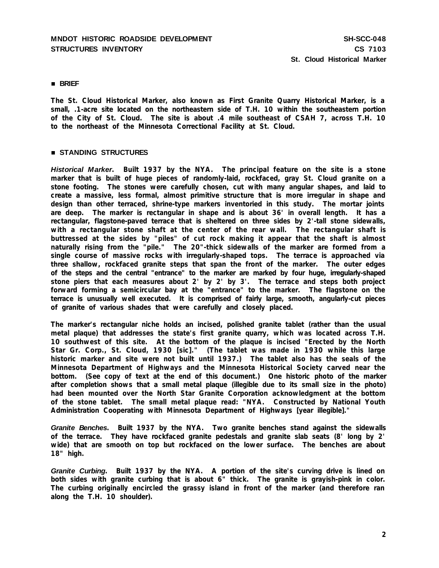## **BRIEF**

**The St. Cloud Historical Marker, also known as First Granite Quarry Historical Marker, is a small, .1-acre site located on the northeastern side of T.H. 10 within the southeastern portion of the City of St. Cloud. The site is about .4 mile southeast of CSAH 7, across T.H. 10 to the northeast of the Minnesota Correctional Facility at St. Cloud.**

## **STANDING STRUCTURES**

*Historical Marker***. Built 1937 by the NYA. The principal feature on the site is a stone marker that is built of huge pieces of randomly-laid, rockfaced, gray St. Cloud granite on a stone footing. The stones were carefully chosen, cut with many angular shapes, and laid to create a massive, less formal, almost primitive structure that is more irregular in shape and design than other terraced, shrine-type markers inventoried in this study. The mortar joints are deep. The marker is rectangular in shape and is about 36' in overall length. It has a rectangular, flagstone-paved terrace that is sheltered on three sides by 2'-tall stone sidewalls, with a rectangular stone shaft at the center of the rear wall. The rectangular shaft is buttressed at the sides by "piles" of cut rock making it appear that the shaft is almost naturally rising from the "pile." The 20"-thick sidewalls of the marker are formed from a single course of massive rocks with irregularly-shaped tops. The terrace is approached via three shallow, rockfaced granite steps that span the front of the marker. The outer edges of the steps and the central "entrance" to the marker are marked by four huge, irregularly-shaped stone piers that each measures about 2' by 2' by 3'. The terrace and steps both project forward forming a semicircular bay at the "entrance" to the marker. The flagstone on the terrace is unusually well executed. It is comprised of fairly large, smooth, angularly-cut pieces of granite of various shades that were carefully and closely placed.**

**The marker's rectangular niche holds an incised, polished granite tablet (rather than the usual metal plaque) that addresses the state's first granite quarry, which was located across T.H. 10 southwest of this site. At the bottom of the plaque is incised "Erected by the North Star Gr. Corp., St. Cloud, 1930 [sic]." (The tablet was made in 1930 while this large historic marker and site were not built until 1937.) The tablet also has the seals of the Minnesota Department of Highways and the Minnesota Historical Society carved near the bottom. (See copy of text at the end of this document.) One historic photo of the marker after completion shows that a small metal plaque (illegible due to its small size in the photo) had been mounted over the North Star Granite Corporation acknowledgment at the bottom of the stone tablet. The small metal plaque read: "NYA. Constructed by National Youth Administration Cooperating with Minnesota Department of Highways [year illegible]."**

*Granite Benches***. Built 1937 by the NYA. Two granite benches stand against the sidewalls of the terrace. They have rockfaced granite pedestals and granite slab seats (8' long by 2' wide) that are smooth on top but rockfaced on the lower surface. The benches are about 18" high.**

*Granite Curbing***. Built 1937 by the NYA. A portion of the site's curving drive is lined on both sides with granite curbing that is about 6" thick. The granite is grayish-pink in color. The curbing originally encircled the grassy island in front of the marker (and therefore ran along the T.H. 10 shoulder).**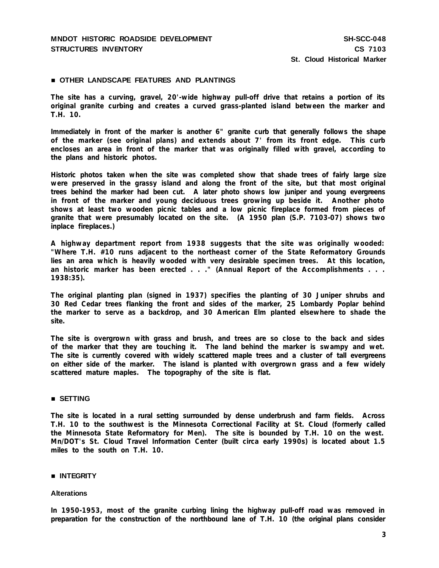## **OTHER LANDSCAPE FEATURES AND PLANTINGS**

**The site has a curving, gravel, 20'-wide highway pull-off drive that retains a portion of its original granite curbing and creates a curved grass-planted island between the marker and T.H. 10.**

**Immediately in front of the marker is another 6" granite curb that generally follows the shape of the marker (see original plans) and extends about 7' from its front edge. This curb encloses an area in front of the marker that was originally filled with gravel, according to the plans and historic photos.**

**Historic photos taken when the site was completed show that shade trees of fairly large size were preserved in the grassy island and along the front of the site, but that most original trees behind the marker had been cut. A later photo shows low juniper and young evergreens in front of the marker and young deciduous trees growing up beside it. Another photo shows at least two wooden picnic tables and a low picnic fireplace formed from pieces of granite that were presumably located on the site. (A 1950 plan (S.P. 7103-07) shows two inplace fireplaces.)**

**A highway department report from 1938 suggests that the site was originally wooded: "Where T.H. #10 runs adjacent to the northeast corner of the State Reformatory Grounds lies an area which is heavily wooded with very desirable specimen trees. At this location, an historic marker has been erected . . ." (Annual Report of the Accomplishments . . . 1938:35).**

**The original planting plan (signed in 1937) specifies the planting of 30 Juniper shrubs and 30 Red Cedar trees flanking the front and sides of the marker, 25 Lombardy Poplar behind the marker to serve as a backdrop, and 30 American Elm planted elsewhere to shade the site.**

**The site is overgrown with grass and brush, and trees are so close to the back and sides of the marker that they are touching it. The land behind the marker is swampy and wet. The site is currently covered with widely scattered maple trees and a cluster of tall evergreens on either side of the marker. The island is planted with overgrown grass and a few widely scattered mature maples. The topography of the site is flat.**

## **SETTING**

**The site is located in a rural setting surrounded by dense underbrush and farm fields. Across T.H. 10 to the southwest is the Minnesota Correctional Facility at St. Cloud (formerly called the Minnesota State Reformatory for Men). The site is bounded by T.H. 10 on the west. Mn/DOT's St. Cloud Travel Information Center (built circa early 1990s) is located about 1.5 miles to the south on T.H. 10.**

## **INTEGRITY**

#### **Alterations**

**In 1950-1953, most of the granite curbing lining the highway pull-off road was removed in preparation for the construction of the northbound lane of T.H. 10 (the original plans consider**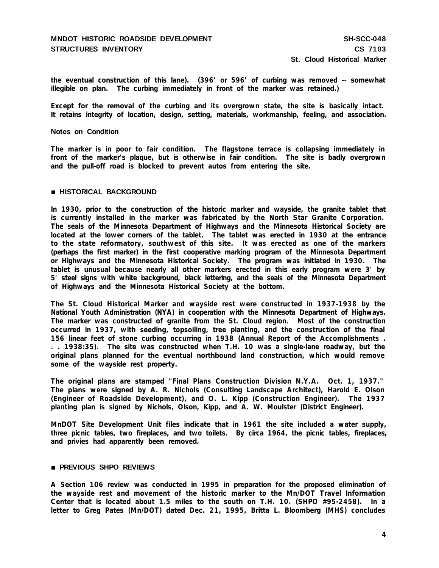**the eventual construction of this lane). (396' or 596' of curbing was removed -- somewhat illegible on plan. The curbing immediately in front of the marker was retained.)**

**Except for the removal of the curbing and its overgrown state, the site is basically intact. It retains integrity of location, design, setting, materials, workmanship, feeling, and association.**

## **Notes on Condition**

**The marker is in poor to fair condition. The flagstone terrace is collapsing immediately in front of the marker's plaque, but is otherwise in fair condition. The site is badly overgrown and the pull-off road is blocked to prevent autos from entering the site.**

#### **HISTORICAL BACKGROUND**

**In 1930, prior to the construction of the historic marker and wayside, the granite tablet that is currently installed in the marker was fabricated by the North Star Granite Corporation. The seals of the Minnesota Department of Highways and the Minnesota Historical Society are located at the lower corners of the tablet. The tablet was erected in 1930 at the entrance to the state reformatory, southwest of this site. It was erected as one of the markers (perhaps the first marker) in the first cooperative marking program of the Minnesota Department or Highways and the Minnesota Historical Society. The program was initiated in 1930. The tablet is unusual because nearly all other markers erected in this early program were 3' by 5' steel signs with white background, black lettering, and the seals of the Minnesota Department of Highways and the Minnesota Historical Society at the bottom.**

**The St. Cloud Historical Marker and wayside rest were constructed in 1937-1938 by the National Youth Administration (NYA) in cooperation with the Minnesota Department of Highways. The marker was constructed of granite from the St. Cloud region. Most of the construction occurred in 1937, with seeding, topsoiling, tree planting, and the construction of the final 156 linear feet of stone curbing occurring in 1938 (Annual Report of the Accomplishments . . . 1938:35). The site was constructed when T.H. 10 was a single-lane roadway, but the original plans planned for the eventual northbound land construction, which would remove some of the wayside rest property.**

**The original plans are stamped "Final Plans Construction Division N.Y.A. Oct. 1, 1937." The plans were signed by A. R. Nichols (Consulting Landscape Architect), Harold E. Olson (Engineer of Roadside Development), and O. L. Kipp (Construction Engineer). The 1937 planting plan is signed by Nichols, Olson, Kipp, and A. W. Moulster (District Engineer).**

**MnDOT Site Development Unit files indicate that in 1961 the site included a water supply, three picnic tables, two fireplaces, and two toilets. By circa 1964, the picnic tables, fireplaces, and privies had apparently been removed.**

## **PREVIOUS SHPO REVIEWS**

**A Section 106 review was conducted in 1995 in preparation for the proposed elimination of the wayside rest and movement of the historic marker to the Mn/DOT Travel Information Center that is located about 1.5 miles to the south on T.H. 10. (SHPO #95-2458). In a letter to Greg Pates (Mn/DOT) dated Dec. 21, 1995, Britta L. Bloomberg (MHS) concludes**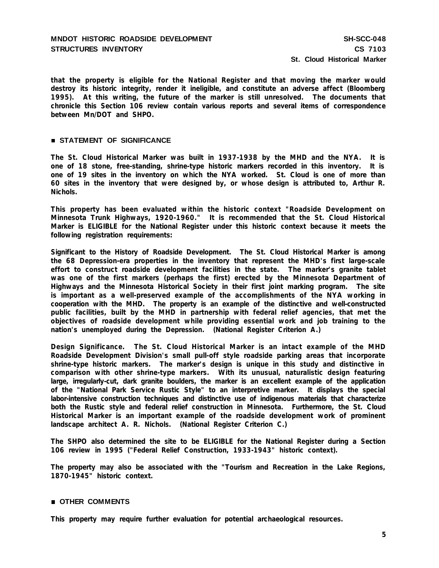**that the property is eligible for the National Register and that moving the marker would destroy its historic integrity, render it ineligible, and constitute an adverse affect (Bloomberg 1995). At this writing, the future of the marker is still unresolved. The documents that chronicle this Section 106 review contain various reports and several items of correspondence between Mn/DOT and SHPO.**

## **STATEMENT OF SIGNIFICANCE**

**The St. Cloud Historical Marker was built in 1937-1938 by the MHD and the NYA. It is one of 18 stone, free-standing, shrine-type historic markers recorded in this inventory. It is one of 19 sites in the inventory on which the NYA worked. St. Cloud is one of more than 60 sites in the inventory that were designed by, or whose design is attributed to, Arthur R. Nichols.**

**This property has been evaluated within the historic context "Roadside Development on Minnesota Trunk Highways, 1920-1960." It is recommended that the St. Cloud Historical Marker is ELIGIBLE for the National Register under this historic context because it meets the following registration requirements:**

**Significant to the History of Roadside Development. The St. Cloud Historical Marker is among the 68 Depression-era properties in the inventory that represent the MHD's first large-scale effort to construct roadside development facilities in the state. The marker's granite tablet was one of the first markers (perhaps the first) erected by the Minnesota Department of Highways and the Minnesota Historical Society in their first joint marking program. The site is important as a well-preserved example of the accomplishments of the NYA working in cooperation with the MHD. The property is an example of the distinctive and well-constructed public facilities, built by the MHD in partnership with federal relief agencies, that met the objectives of roadside development while providing essential work and job training to the nation's unemployed during the Depression. (National Register Criterion A.)**

**Design Significance. The St. Cloud Historical Marker is an intact example of the MHD Roadside Development Division's small pull-off style roadside parking areas that incorporate shrine-type historic markers. The marker's design is unique in this study and distinctive in comparison with other shrine-type markers. With its unusual, naturalistic design featuring large, irregularly-cut, dark granite boulders, the marker is an excellent example of the application of the "National Park Service Rustic Style" to an interpretive marker. It displays the special labor-intensive construction techniques and distinctive use of indigenous materials that characterize both the Rustic style and federal relief construction in Minnesota. Furthermore, the St. Cloud Historical Marker is an important example of the roadside development work of prominent landscape architect A. R. Nichols. (National Register Criterion C.)**

**The SHPO also determined the site to be ELIGIBLE for the National Register during a Section 106 review in 1995 ("Federal Relief Construction, 1933-1943" historic context).**

**The property may also be associated with the "Tourism and Recreation in the Lake Regions, 1870-1945" historic context.**

## **OTHER COMMENTS**

**This property may require further evaluation for potential archaeological resources.**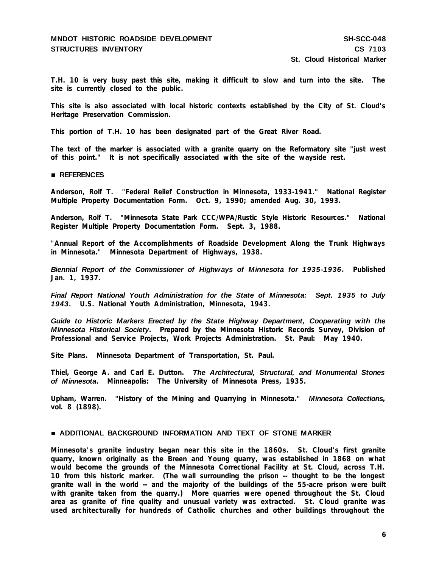T.H. 10 is very busy past this site, making it difficult to slow and turn into the site. The **site is currently closed to the public.**

**This site is also associated with local historic contexts established by the City of St. Cloud's Heritage Preservation Commission.**

**This portion of T.H. 10 has been designated part of the Great River Road.**

**The text of the marker is associated with a granite quarry on the Reformatory site "just west of this point." It is not specifically associated with the site of the wayside rest.**

#### **REFERENCES**

**Anderson, Rolf T. "Federal Relief Construction in Minnesota, 1933-1941." National Register Multiple Property Documentation Form. Oct. 9, 1990; amended Aug. 30, 1993.**

**Anderson, Rolf T. "Minnesota State Park CCC/WPA/Rustic Style Historic Resources." National Register Multiple Property Documentation Form. Sept. 3, 1988.**

**"Annual Report of the Accomplishments of Roadside Development Along the Trunk Highways in Minnesota." Minnesota Department of Highways, 1938.**

*Biennial Report of the Commissioner of Highways of Minnesota for 1935-1936***. Published Jan. 1, 1937.**

*Final Report National Youth Administration for the State of Minnesota: Sept. 1935 to July 1943***. U.S. National Youth Administration, Minnesota, 1943.**

*Guide to Historic Markers Erected by the State Highway Department, Cooperating with the Minnesota Historical Society***. Prepared by the Minnesota Historic Records Survey, Division of Professional and Service Projects, Work Projects Administration. St. Paul: May 1940.**

**Site Plans. Minnesota Department of Transportation, St. Paul.**

**Thiel, George A. and Carl E. Dutton.** *The Architectural, Structural, and Monumental Stones of Minnesota***. Minneapolis: The University of Minnesota Press, 1935.**

**Upham, Warren. "History of the Mining and Quarrying in Minnesota."** *Minnesota Collections***, vol. 8 (1898).**

#### **ADDITIONAL BACKGROUND INFORMATION AND TEXT OF STONE MARKER**

**Minnesota's granite industry began near this site in the 1860s. St. Cloud's first granite quarry, known originally as the Breen and Young quarry, was established in 1868 on what would become the grounds of the Minnesota Correctional Facility at St. Cloud, across T.H. 10 from this historic marker. (The wall surrounding the prison -- thought to be the longest granite wall in the world -- and the majority of the buildings of the 55-acre prison were built with granite taken from the quarry.) More quarries were opened throughout the St. Cloud area as granite of fine quality and unusual variety was extracted. St. Cloud granite was used architecturally for hundreds of Catholic churches and other buildings throughout the**